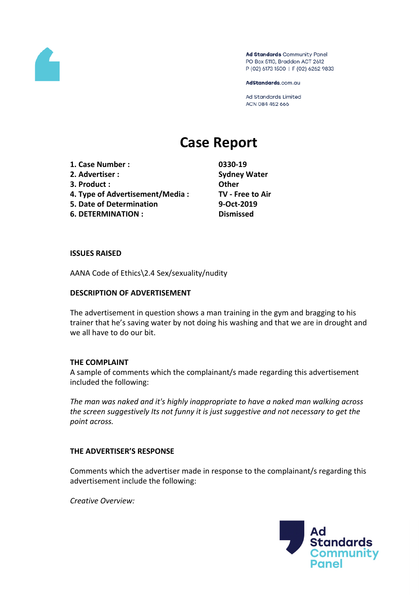

Ad Standards Community Panel PO Box 5110, Braddon ACT 2612 P (02) 6173 1500 | F (02) 6262 9833

AdStandards.com.au

Ad Standards Limited ACN 084 452 666

# **Case Report**

- **1. Case Number : 0330-19**
- **2. Advertiser : Sydney Water**
- **3. Product : Other**
- **4. Type of Advertisement/Media : TV - Free to Air**
- **5. Date of Determination 9-Oct-2019**
- **6. DETERMINATION : Dismissed**

#### **ISSUES RAISED**

AANA Code of Ethics\2.4 Sex/sexuality/nudity

### **DESCRIPTION OF ADVERTISEMENT**

The advertisement in question shows a man training in the gym and bragging to his trainer that he's saving water by not doing his washing and that we are in drought and we all have to do our bit.

### **THE COMPLAINT**

A sample of comments which the complainant/s made regarding this advertisement included the following:

*The man was naked and it's highly inappropriate to have a naked man walking across the screen suggestively Its not funny it is just suggestive and not necessary to get the point across.*

### **THE ADVERTISER'S RESPONSE**

Comments which the advertiser made in response to the complainant/s regarding this advertisement include the following:

*Creative Overview:*

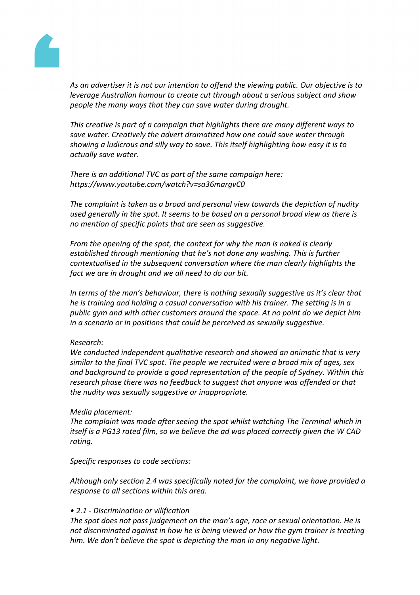

*As an advertiser it is not our intention to offend the viewing public. Our objective is to leverage Australian humour to create cut through about a serious subject and show people the many ways that they can save water during drought.*

*This creative is part of a campaign that highlights there are many different ways to save water. Creatively the advert dramatized how one could save water through showing a ludicrous and silly way to save. This itself highlighting how easy it is to actually save water.*

*There is an additional TVC as part of the same campaign here: https://www.youtube.com/watch?v=sa36margvC0*

*The complaint is taken as a broad and personal view towards the depiction of nudity used generally in the spot. It seems to be based on a personal broad view as there is no mention of specific points that are seen as suggestive.*

*From the opening of the spot, the context for why the man is naked is clearly established through mentioning that he's not done any washing. This is further contextualised in the subsequent conversation where the man clearly highlights the fact we are in drought and we all need to do our bit.*

*In terms of the man's behaviour, there is nothing sexually suggestive as it's clear that he is training and holding a casual conversation with his trainer. The setting is in a public gym and with other customers around the space. At no point do we depict him in a scenario or in positions that could be perceived as sexually suggestive.*

### *Research:*

*We conducted independent qualitative research and showed an animatic that is very similar to the final TVC spot. The people we recruited were a broad mix of ages, sex and background to provide a good representation of the people of Sydney. Within this research phase there was no feedback to suggest that anyone was offended or that the nudity was sexually suggestive or inappropriate.*

### *Media placement:*

*The complaint was made after seeing the spot whilst watching The Terminal which in itself is a PG13 rated film, so we believe the ad was placed correctly given the W CAD rating.*

### *Specific responses to code sections:*

*Although only section 2.4 was specifically noted for the complaint, we have provided a response to all sections within this area.*

### *• 2.1 - Discrimination or vilification*

*The spot does not pass judgement on the man's age, race or sexual orientation. He is not discriminated against in how he is being viewed or how the gym trainer is treating him. We don't believe the spot is depicting the man in any negative light.*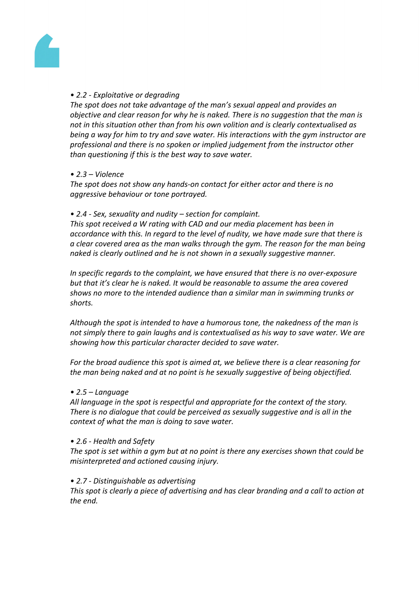

## *• 2.2 - Exploitative or degrading*

*The spot does not take advantage of the man's sexual appeal and provides an objective and clear reason for why he is naked. There is no suggestion that the man is not in this situation other than from his own volition and is clearly contextualised as being a way for him to try and save water. His interactions with the gym instructor are professional and there is no spoken or implied judgement from the instructor other than questioning if this is the best way to save water.*

## *• 2.3 – Violence*

*The spot does not show any hands-on contact for either actor and there is no aggressive behaviour or tone portrayed.*

### *• 2.4 - Sex, sexuality and nudity – section for complaint.*

*This spot received a W rating with CAD and our media placement has been in accordance with this. In regard to the level of nudity, we have made sure that there is a clear covered area as the man walks through the gym. The reason for the man being naked is clearly outlined and he is not shown in a sexually suggestive manner.*

*In specific regards to the complaint, we have ensured that there is no over-exposure but that it's clear he is naked. It would be reasonable to assume the area covered shows no more to the intended audience than a similar man in swimming trunks or shorts.*

*Although the spot is intended to have a humorous tone, the nakedness of the man is not simply there to gain laughs and is contextualised as his way to save water. We are showing how this particular character decided to save water.*

*For the broad audience this spot is aimed at, we believe there is a clear reasoning for the man being naked and at no point is he sexually suggestive of being objectified.*

### *• 2.5 – Language*

*All language in the spot is respectful and appropriate for the context of the story. There is no dialogue that could be perceived as sexually suggestive and is all in the context of what the man is doing to save water.*

### *• 2.6 - Health and Safety*

*The spot is set within a gym but at no point is there any exercises shown that could be misinterpreted and actioned causing injury.*

### *• 2.7 - Distinguishable as advertising*

*This spot is clearly a piece of advertising and has clear branding and a call to action at the end.*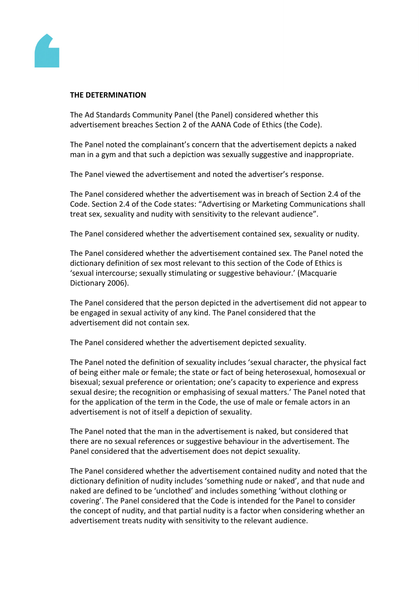

### **THE DETERMINATION**

The Ad Standards Community Panel (the Panel) considered whether this advertisement breaches Section 2 of the AANA Code of Ethics (the Code).

The Panel noted the complainant's concern that the advertisement depicts a naked man in a gym and that such a depiction was sexually suggestive and inappropriate.

The Panel viewed the advertisement and noted the advertiser's response.

The Panel considered whether the advertisement was in breach of Section 2.4 of the Code. Section 2.4 of the Code states: "Advertising or Marketing Communications shall treat sex, sexuality and nudity with sensitivity to the relevant audience".

The Panel considered whether the advertisement contained sex, sexuality or nudity.

The Panel considered whether the advertisement contained sex. The Panel noted the dictionary definition of sex most relevant to this section of the Code of Ethics is 'sexual intercourse; sexually stimulating or suggestive behaviour.' (Macquarie Dictionary 2006).

The Panel considered that the person depicted in the advertisement did not appear to be engaged in sexual activity of any kind. The Panel considered that the advertisement did not contain sex.

The Panel considered whether the advertisement depicted sexuality.

The Panel noted the definition of sexuality includes 'sexual character, the physical fact of being either male or female; the state or fact of being heterosexual, homosexual or bisexual; sexual preference or orientation; one's capacity to experience and express sexual desire; the recognition or emphasising of sexual matters.' The Panel noted that for the application of the term in the Code, the use of male or female actors in an advertisement is not of itself a depiction of sexuality.

The Panel noted that the man in the advertisement is naked, but considered that there are no sexual references or suggestive behaviour in the advertisement. The Panel considered that the advertisement does not depict sexuality.

The Panel considered whether the advertisement contained nudity and noted that the dictionary definition of nudity includes 'something nude or naked', and that nude and naked are defined to be 'unclothed' and includes something 'without clothing or covering'. The Panel considered that the Code is intended for the Panel to consider the concept of nudity, and that partial nudity is a factor when considering whether an advertisement treats nudity with sensitivity to the relevant audience.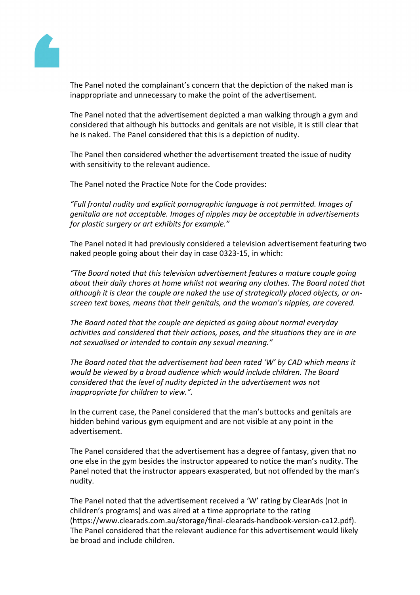

The Panel noted the complainant's concern that the depiction of the naked man is inappropriate and unnecessary to make the point of the advertisement.

The Panel noted that the advertisement depicted a man walking through a gym and considered that although his buttocks and genitals are not visible, it is still clear that he is naked. The Panel considered that this is a depiction of nudity.

The Panel then considered whether the advertisement treated the issue of nudity with sensitivity to the relevant audience.

The Panel noted the Practice Note for the Code provides:

*"Full frontal nudity and explicit pornographic language is not permitted. Images of genitalia are not acceptable. Images of nipples may be acceptable in advertisements for plastic surgery or art exhibits for example."*

The Panel noted it had previously considered a television advertisement featuring two naked people going about their day in case 0323-15, in which:

*"The Board noted that this television advertisement features a mature couple going about their daily chores at home whilst not wearing any clothes. The Board noted that although it is clear the couple are naked the use of strategically placed objects, or onscreen text boxes, means that their genitals, and the woman's nipples, are covered.*

*The Board noted that the couple are depicted as going about normal everyday activities and considered that their actions, poses, and the situations they are in are not sexualised or intended to contain any sexual meaning."*

*The Board noted that the advertisement had been rated 'W' by CAD which means it would be viewed by a broad audience which would include children. The Board considered that the level of nudity depicted in the advertisement was not inappropriate for children to view.".*

In the current case, the Panel considered that the man's buttocks and genitals are hidden behind various gym equipment and are not visible at any point in the advertisement.

The Panel considered that the advertisement has a degree of fantasy, given that no one else in the gym besides the instructor appeared to notice the man's nudity. The Panel noted that the instructor appears exasperated, but not offended by the man's nudity.

The Panel noted that the advertisement received a 'W' rating by ClearAds (not in children's programs) and was aired at a time appropriate to the rating (https://www.clearads.com.au/storage/final-clearads-handbook-version-ca12.pdf). The Panel considered that the relevant audience for this advertisement would likely be broad and include children.